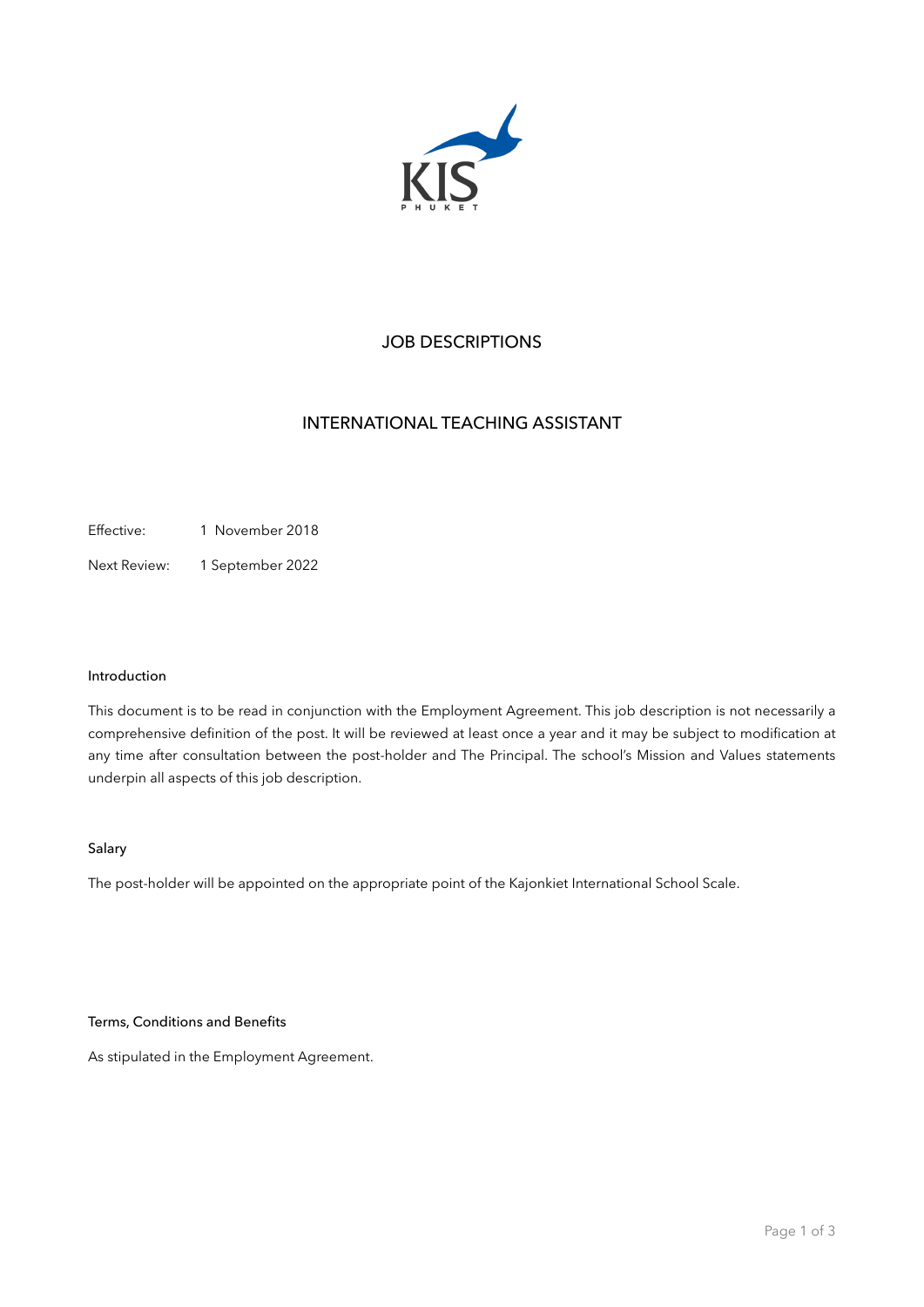

# JOB DESCRIPTIONS

# INTERNATIONAL TEACHING ASSISTANT

Effective: 1 November 2018

Next Review: 1 September 2022

### Introduction

This document is to be read in conjunction with the Employment Agreement. This job description is not necessarily a comprehensive definition of the post. It will be reviewed at least once a year and it may be subject to modification at any time after consultation between the post-holder and The Principal. The school's Mission and Values statements underpin all aspects of this job description.

# Salary

The post-holder will be appointed on the appropriate point of the Kajonkiet International School Scale.

## Terms, Conditions and Benefits

As stipulated in the Employment Agreement.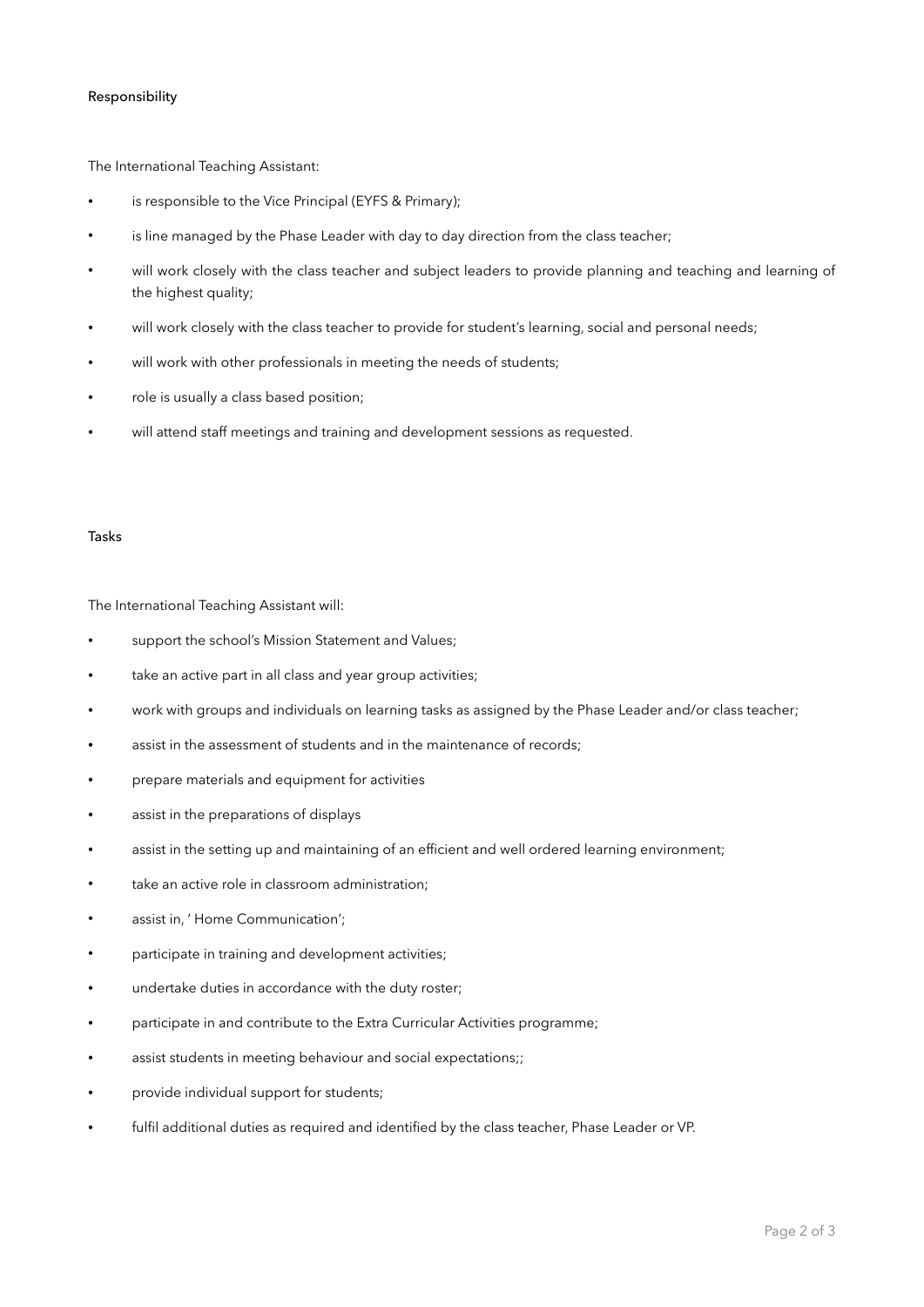### Responsibility

The International Teaching Assistant:

- is responsible to the Vice Principal (EYFS & Primary);
- is line managed by the Phase Leader with day to day direction from the class teacher;
- will work closely with the class teacher and subject leaders to provide planning and teaching and learning of the highest quality;
- will work closely with the class teacher to provide for student's learning, social and personal needs;
- will work with other professionals in meeting the needs of students;
- role is usually a class based position;
- will attend staff meetings and training and development sessions as requested.

#### Tasks

The International Teaching Assistant will:

- support the school's Mission Statement and Values;
- take an active part in all class and year group activities;
- work with groups and individuals on learning tasks as assigned by the Phase Leader and/or class teacher;
- assist in the assessment of students and in the maintenance of records;
- prepare materials and equipment for activities
- assist in the preparations of displays
- assist in the setting up and maintaining of an efficient and well ordered learning environment;
- take an active role in classroom administration;
- assist in, 'Home Communication';
- participate in training and development activities;
- undertake duties in accordance with the duty roster;
- participate in and contribute to the Extra Curricular Activities programme;
- assist students in meeting behaviour and social expectations;;
- provide individual support for students;
- fulfil additional duties as required and identified by the class teacher, Phase Leader or VP.